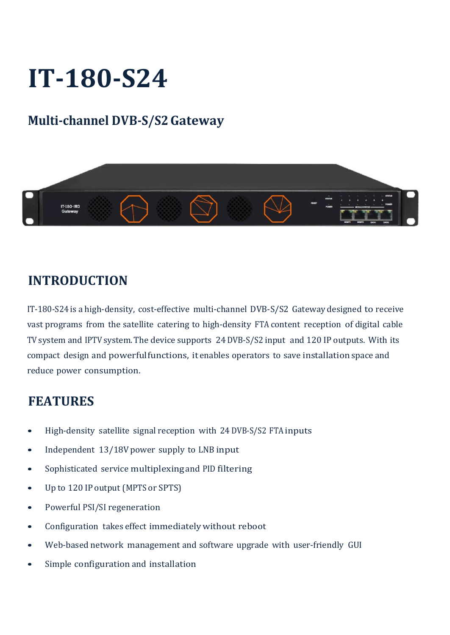## **IT-180-S24**

## **Multi-channel DVB-S/S2Gateway**



## **INTRODUCTION**

IT-180-S24 is a high-density, cost-effective multi-channel DVB-S/S2 Gateway designed to receive vast programs from the satellite catering to high-density FTA content reception of digital cable TV system and IPTV system. The device supports 24 DVB-S/S2 input and 120 IP outputs. With its compact design and powerfulfunctions, it enables operators to save installation space and reduce power consumption.

## **FEATURES**

- High-density satellite signal reception with 24 DVB-S/S2 FTAinputs
- Independent 13/18V power supply to LNB input
- Sophisticated service multiplexing and PID filtering
- Up to 120 IP output (MPTS or SPTS)
- Powerful PSI/SI regeneration
- Configuration takes effect immediatelywithout reboot
- Web-based network management and software upgrade with user-friendly GUI
- Simple configuration and installation